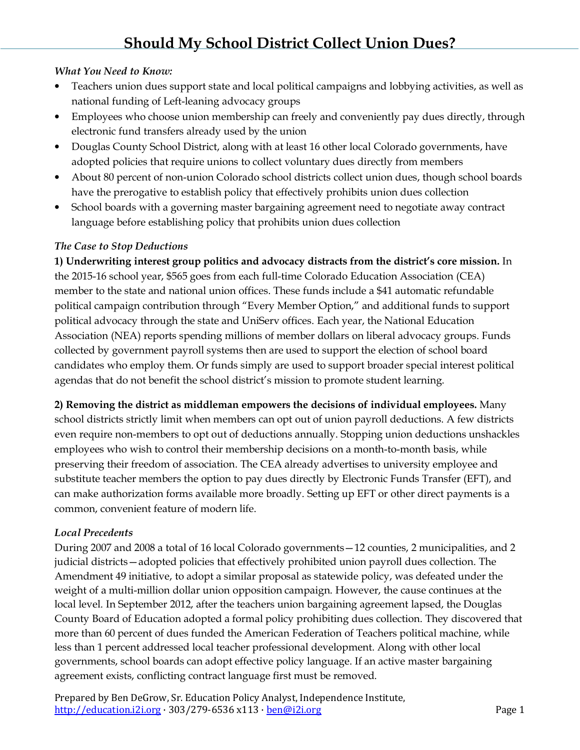## *What You Need to Know:*

- Teachers union dues support state and local political campaigns and lobbying activities, as well as national funding of Left-leaning advocacy groups
- Employees who choose union membership can freely and conveniently pay dues directly, through electronic fund transfers already used by the union
- Douglas County School District, along with at least 16 other local Colorado governments, have adopted policies that require unions to collect voluntary dues directly from members
- About 80 percent of non-union Colorado school districts collect union dues, though school boards have the prerogative to establish policy that effectively prohibits union dues collection
- School boards with a governing master bargaining agreement need to negotiate away contract language before establishing policy that prohibits union dues collection

# *The Case to Stop Deductions*

**1) Underwriting interest group politics and advocacy distracts from the district's core mission.** In the 2015-16 school year, \$565 goes from each full-time Colorado Education Association (CEA) member to the state and national union offices. These funds include a \$41 automatic refundable political campaign contribution through "Every Member Option," and additional funds to support political advocacy through the state and UniServ offices. Each year, the National Education Association (NEA) reports spending millions of member dollars on liberal advocacy groups. Funds collected by government payroll systems then are used to support the election of school board candidates who employ them. Or funds simply are used to support broader special interest political agendas that do not benefit the school district's mission to promote student learning.

**2) Removing the district as middleman empowers the decisions of individual employees.** Many school districts strictly limit when members can opt out of union payroll deductions. A few districts even require non-members to opt out of deductions annually. Stopping union deductions unshackles employees who wish to control their membership decisions on a month-to-month basis, while preserving their freedom of association. The CEA already advertises to university employee and substitute teacher members the option to pay dues directly by Electronic Funds Transfer (EFT), and can make authorization forms available more broadly. Setting up EFT or other direct payments is a common, convenient feature of modern life.

# *Local Precedents*

During 2007 and 2008 a total of 16 local Colorado governments—12 counties, 2 municipalities, and 2 judicial districts—adopted policies that effectively prohibited union payroll dues collection. The Amendment 49 initiative, to adopt a similar proposal as statewide policy, was defeated under the weight of a multi-million dollar union opposition campaign. However, the cause continues at the local level. In September 2012, after the teachers union bargaining agreement lapsed, the Douglas County Board of Education adopted a formal policy prohibiting dues collection. They discovered that more than 60 percent of dues funded the American Federation of Teachers political machine, while less than 1 percent addressed local teacher professional development. Along with other local governments, school boards can adopt effective policy language. If an active master bargaining agreement exists, conflicting contract language first must be removed.

Prepared by Ben DeGrow, Sr. Education Policy Analyst, Independence Institute, http://education.i2i.org · 303/279-6536 x113 · ben@i2i.org Page 1